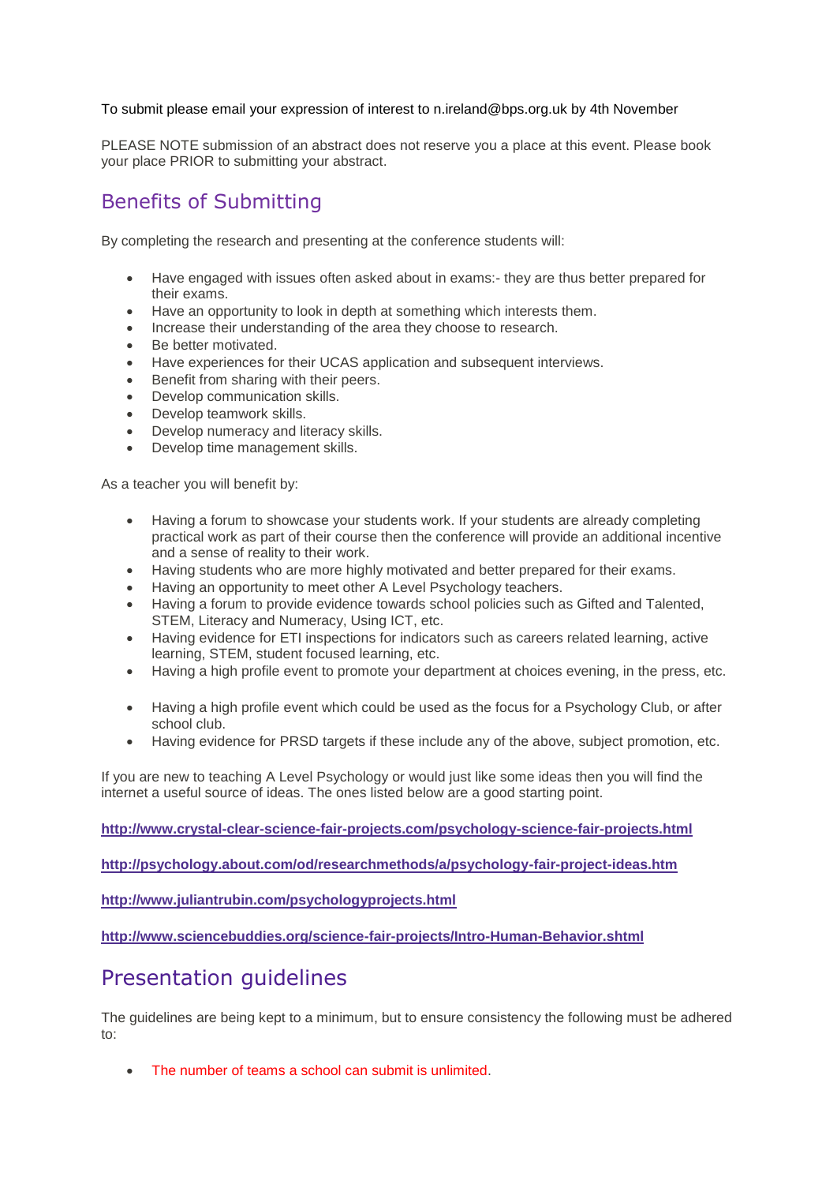#### To submit please email your expression of interest to n.ireland@bps.org.uk by 4th November

PLEASE NOTE submission of an abstract does not reserve you a place at this event. Please book your place PRIOR to submitting your abstract.

### Benefits of Submitting

By completing the research and presenting at the conference students will:

- Have engaged with issues often asked about in exams:- they are thus better prepared for their exams.
- Have an opportunity to look in depth at something which interests them.
- Increase their understanding of the area they choose to research.
- Be better motivated.
- Have experiences for their UCAS application and subsequent interviews.
- **Benefit from sharing with their peers.**
- Develop communication skills.
- Develop teamwork skills.
- Develop numeracy and literacy skills.
- Develop time management skills.

As a teacher you will benefit by:

- Having a forum to showcase your students work. If your students are already completing practical work as part of their course then the conference will provide an additional incentive and a sense of reality to their work.
- Having students who are more highly motivated and better prepared for their exams.
- Having an opportunity to meet other A Level Psychology teachers.
- Having a forum to provide evidence towards school policies such as Gifted and Talented, STEM, Literacy and Numeracy, Using ICT, etc.
- Having evidence for ETI inspections for indicators such as careers related learning, active learning, STEM, student focused learning, etc.
- Having a high profile event to promote your department at choices evening, in the press, etc.
- Having a high profile event which could be used as the focus for a Psychology Club, or after school club.
- Having evidence for PRSD targets if these include any of the above, subject promotion, etc.

If you are new to teaching A Level Psychology or would just like some ideas then you will find the internet a useful source of ideas. The ones listed below are a good starting point.

**<http://www.crystal-clear-science-fair-projects.com/psychology-science-fair-projects.html>**

**<http://psychology.about.com/od/researchmethods/a/psychology-fair-project-ideas.htm>**

**<http://www.juliantrubin.com/psychologyprojects.html>**

**<http://www.sciencebuddies.org/science-fair-projects/Intro-Human-Behavior.shtml>**

# Presentation guidelines

The guidelines are being kept to a minimum, but to ensure consistency the following must be adhered to:

The number of teams a school can submit is unlimited.